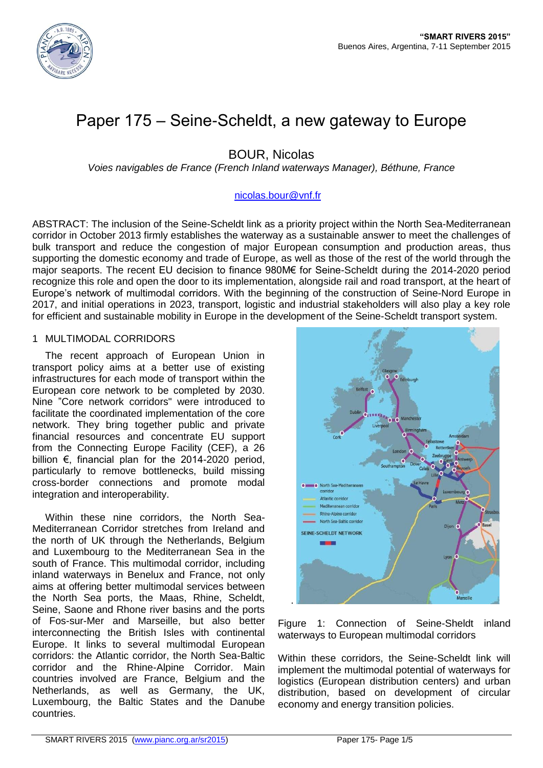

# Paper 175 – Seine-Scheldt, a new gateway to Europe

BOUR, Nicolas

*Voies navigables de France (French Inland waterways Manager), Béthune, France*

# [nicolas.bour@vnf.fr](mailto:nicolas.bour@vnf.fr)

ABSTRACT: The inclusion of the Seine-Scheldt link as a priority project within the North Sea-Mediterranean corridor in October 2013 firmly establishes the waterway as a sustainable answer to meet the challenges of bulk transport and reduce the congestion of major European consumption and production areas, thus supporting the domestic economy and trade of Europe, as well as those of the rest of the world through the major seaports. The recent EU decision to finance 980M€ for Seine-Scheldt during the 2014-2020 period recognize this role and open the door to its implementation, alongside rail and road transport, at the heart of Europe's network of multimodal corridors. With the beginning of the construction of Seine-Nord Europe in 2017, and initial operations in 2023, transport, logistic and industrial stakeholders will also play a key role for efficient and sustainable mobility in Europe in the development of the Seine-Scheldt transport system.

## 1 MULTIMODAL CORRIDORS

The recent approach of European Union in transport policy aims at a better use of existing infrastructures for each mode of transport within the European core network to be completed by 2030. Nine "Core network corridors" were introduced to facilitate the coordinated implementation of the core network. They bring together public and private financial resources and concentrate EU support from the Connecting Europe Facility (CEF), a 26 billion €, financial plan for the 2014-2020 period, particularly to remove bottlenecks, build missing cross-border connections and promote modal integration and interoperability.

Within these nine corridors, the North Sea-Mediterranean Corridor stretches from Ireland and the north of UK through the Netherlands, Belgium and Luxembourg to the Mediterranean Sea in the south of France. This multimodal corridor, including inland waterways in Benelux and France, not only aims at offering better multimodal services between the North Sea ports, the Maas, Rhine, Scheldt, Seine, Saone and Rhone river basins and the ports of Fos-sur-Mer and Marseille, but also better interconnecting the British Isles with continental Europe. It links to several multimodal European corridors: the Atlantic corridor, the North Sea-Baltic corridor and the Rhine-Alpine Corridor. Main countries involved are France, Belgium and the Netherlands, as well as Germany, the UK, Luxembourg, the Baltic States and the Danube countries.



Figure 1: Connection of Seine-Sheldt inland waterways to European multimodal corridors

Within these corridors, the Seine-Scheldt link will implement the multimodal potential of waterways for logistics (European distribution centers) and urban distribution, based on development of circular economy and energy transition policies.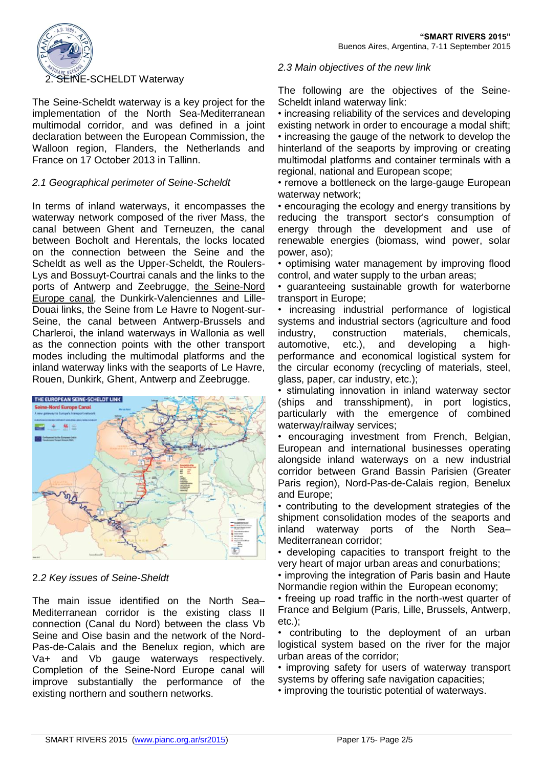

The Seine-Scheldt waterway is a key project for the implementation of the North Sea-Mediterranean multimodal corridor, and was defined in a joint declaration between the European Commission, the Walloon region, Flanders, the Netherlands and France on 17 October 2013 in Tallinn.

# *2.1 Geographical perimeter of Seine-Scheldt*

In terms of inland waterways, it encompasses the waterway network composed of the river Mass, the canal between Ghent and Terneuzen, the canal between Bocholt and Herentals, the locks located on the connection between the Seine and the Scheldt as well as the Upper-Scheldt, the Roulers-Lys and Bossuyt-Courtrai canals and the links to the ports of Antwerp and Zeebrugge, the Seine-Nord Europe canal, the Dunkirk-Valenciennes and Lille-Douai links, the Seine from Le Havre to Nogent-sur-Seine, the canal between Antwerp-Brussels and Charleroi, the inland waterways in Wallonia as well as the connection points with the other transport modes including the multimodal platforms and the inland waterway links with the seaports of Le Havre, Rouen, Dunkirk, Ghent, Antwerp and Zeebrugge.



## 2.*2 Key issues of Seine-Sheldt*

The main issue identified on the North Sea– Mediterranean corridor is the existing class II connection (Canal du Nord) between the class Vb Seine and Oise basin and the network of the Nord-Pas-de-Calais and the Benelux region, which are Va+ and Vb gauge waterways respectively. Completion of the Seine-Nord Europe canal will improve substantially the performance of the existing northern and southern networks.

### *2.3 Main objectives of the new link*

The following are the objectives of the Seine-Scheldt inland waterway link:

• increasing reliability of the services and developing existing network in order to encourage a modal shift; • increasing the gauge of the network to develop the hinterland of the seaports by improving or creating multimodal platforms and container terminals with a regional, national and European scope;

• remove a bottleneck on the large-gauge European waterway network;

• encouraging the ecology and energy transitions by reducing the transport sector's consumption of energy through the development and use of renewable energies (biomass, wind power, solar power, aso);

• optimising water management by improving flood control, and water supply to the urban areas;

• guaranteeing sustainable growth for waterborne transport in Europe;

• increasing industrial performance of logistical systems and industrial sectors (agriculture and food industry, construction materials, chemicals, automotive, etc.), and developing a highperformance and economical logistical system for the circular economy (recycling of materials, steel, glass, paper, car industry, etc.);

• stimulating innovation in inland waterway sector (ships and transshipment), in port logistics, particularly with the emergence of combined waterway/railway services;

• encouraging investment from French, Belgian, European and international businesses operating alongside inland waterways on a new industrial corridor between Grand Bassin Parisien (Greater Paris region), Nord-Pas-de-Calais region, Benelux and Europe;

• contributing to the development strategies of the shipment consolidation modes of the seaports and inland waterway ports of the North Sea– Mediterranean corridor;

• developing capacities to transport freight to the very heart of major urban areas and conurbations;

• improving the integration of Paris basin and Haute Normandie region within the European economy;

• freeing up road traffic in the north-west quarter of France and Belgium (Paris, Lille, Brussels, Antwerp, etc.);

• contributing to the deployment of an urban logistical system based on the river for the major urban areas of the corridor;

• improving safety for users of waterway transport systems by offering safe navigation capacities;

• improving the touristic potential of waterways.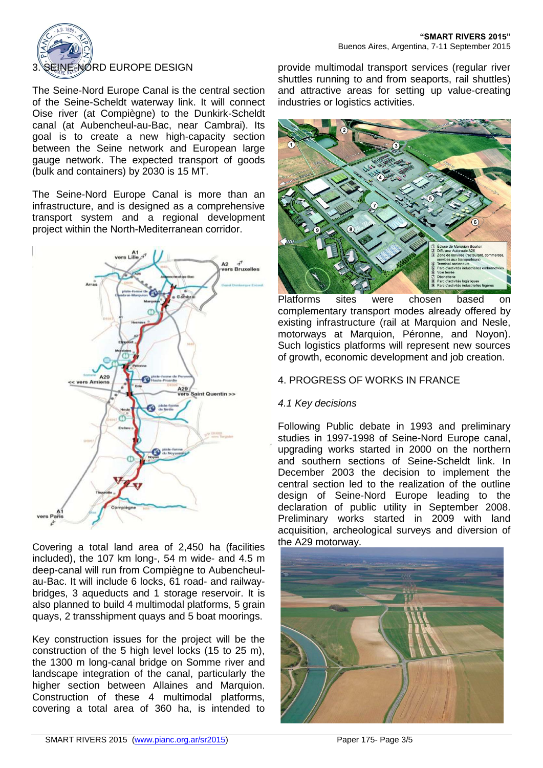

The Seine-Nord Europe Canal is the central section of the Seine-Scheldt waterway link. It will connect Oise river (at Compiègne) to the Dunkirk-Scheldt canal (at Aubencheul-au-Bac, near Cambrai). Its goal is to create a new high-capacity section between the Seine network and European large gauge network. The expected transport of goods (bulk and containers) by 2030 is 15 MT.

The Seine-Nord Europe Canal is more than an infrastructure, and is designed as a comprehensive transport system and a regional development project within the North-Mediterranean corridor.



Covering a total land area of 2,450 ha (facilities included), the 107 km long-, 54 m wide- and 4.5 m deep-canal will run from Compiègne to Aubencheulau-Bac. It will include 6 locks, 61 road- and railwaybridges, 3 aqueducts and 1 storage reservoir. It is also planned to build 4 multimodal platforms, 5 grain quays, 2 transshipment quays and 5 boat moorings.

Key construction issues for the project will be the construction of the 5 high level locks (15 to 25 m), the 1300 m long-canal bridge on Somme river and landscape integration of the canal, particularly the higher section between Allaines and Marquion. Construction of these 4 multimodal platforms, covering a total area of 360 ha, is intended to

provide multimodal transport services (regular river shuttles running to and from seaports, rail shuttles) and attractive areas for setting up value-creating industries or logistics activities.



Platforms sites were chosen based on complementary transport modes already offered by existing infrastructure (rail at Marquion and Nesle, motorways at Marquion, Péronne, and Noyon). Such logistics platforms will represent new sources of growth, economic development and job creation.

# 4. PROGRESS OF WORKS IN FRANCE

# *4.1 Key decisions*

Following Public debate in 1993 and preliminary studies in 1997-1998 of Seine-Nord Europe canal, upgrading works started in 2000 on the northern and southern sections of Seine-Scheldt link. In December 2003 the decision to implement the central section led to the realization of the outline design of Seine-Nord Europe leading to the declaration of public utility in September 2008. Preliminary works started in 2009 with land acquisition, archeological surveys and diversion of the A29 motorway.

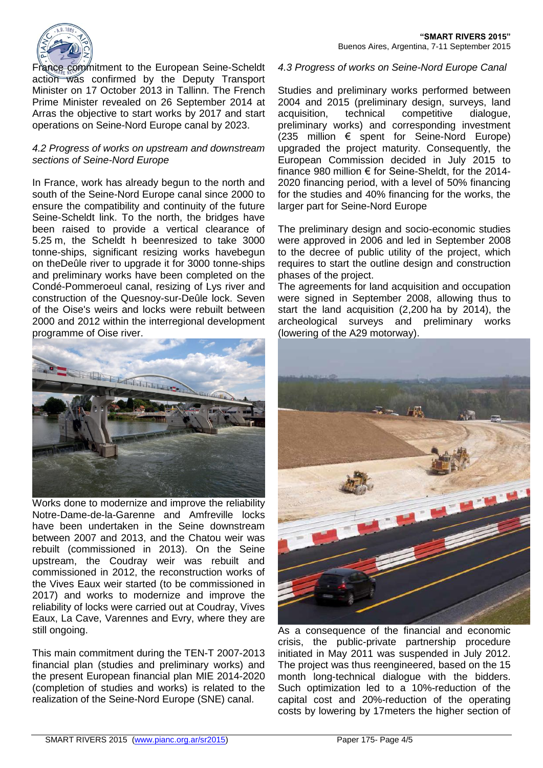

France commitment to the European Seine-Scheldt action was confirmed by the Deputy Transport Minister on 17 October 2013 in Tallinn. The French Prime Minister revealed on 26 September 2014 at Arras the objective to start works by 2017 and start operations on Seine-Nord Europe canal by 2023.

### *4.2 Progress of works on upstream and downstream sections of Seine-Nord Europe*

In France, work has already begun to the north and south of the Seine-Nord Europe canal since 2000 to ensure the compatibility and continuity of the future Seine-Scheldt link. To the north, the bridges have been raised to provide a vertical clearance of 5.25 m, the Scheldt h beenresized to take 3000 tonne-ships, significant resizing works havebegun on theDeûle river to upgrade it for 3000 tonne-ships and preliminary works have been completed on the Condé-Pommeroeul canal, resizing of Lys river and construction of the Quesnoy-sur-Deûle lock. Seven of the Oise's weirs and locks were rebuilt between 2000 and 2012 within the interregional development programme of Oise river.



Works done to modernize and improve the reliability Notre-Dame-de-la-Garenne and Amfreville locks have been undertaken in the Seine downstream between 2007 and 2013, and the Chatou weir was rebuilt (commissioned in 2013). On the Seine upstream, the Coudray weir was rebuilt and commissioned in 2012, the reconstruction works of the Vives Eaux weir started (to be commissioned in 2017) and works to modernize and improve the reliability of locks were carried out at Coudray, Vives Eaux, La Cave, Varennes and Evry, where they are still ongoing.

This main commitment during the TEN-T 2007-2013 financial plan (studies and preliminary works) and the present European financial plan MIE 2014-2020 (completion of studies and works) is related to the realization of the Seine-Nord Europe (SNE) canal.

#### *4.3 Progress of works on Seine-Nord Europe Canal*

Studies and preliminary works performed between 2004 and 2015 (preliminary design, surveys, land acquisition, technical competitive dialogue, preliminary works) and corresponding investment  $(235$  million  $\epsilon$  spent for Seine-Nord Europe) upgraded the project maturity. Consequently, the European Commission decided in July 2015 to finance 980 million € for Seine-Sheldt, for the 2014- 2020 financing period, with a level of 50% financing for the studies and 40% financing for the works, the larger part for Seine-Nord Europe

The preliminary design and socio-economic studies were approved in 2006 and led in September 2008 to the decree of public utility of the project, which requires to start the outline design and construction phases of the project.

The agreements for land acquisition and occupation were signed in September 2008, allowing thus to start the land acquisition (2,200 ha by 2014), the archeological surveys and preliminary works (lowering of the A29 motorway).



As a consequence of the financial and economic crisis, the public-private partnership procedure initiated in May 2011 was suspended in July 2012. The project was thus reengineered, based on the 15 month long-technical dialogue with the bidders. Such optimization led to a 10%-reduction of the capital cost and 20%-reduction of the operating costs by lowering by 17meters the higher section of